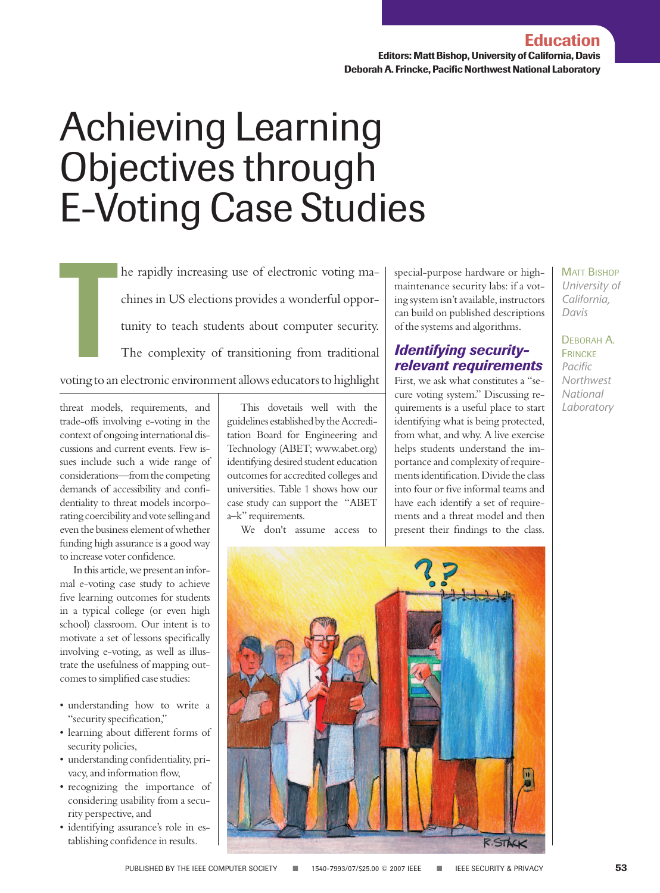#### **Education Editors: Matt Bishop, University of California, Davis Deborah A. Frincke, Pacific Northwest National Laboratory**

# Achieving Learning Objectives through E-Voting Case Studies

he rapidly increasing use of electronic voting machines in US elections provides a wonderful opportunity to teach students about computer security. The complexity of transitioning from traditional voting to an electronic environment allows educators to highlight

threat models, requirements, and trade-offs involving e-voting in the context of ongoing international discussions and current events. Few issues include such a wide range of considerations—from the competing demands of accessibility and confidentiality to threat models incorporating coercibility and vote selling and even the business element of whether funding high assurance is a good way to increase voter confidence.

**T** 

In this article, we present an informal e-voting case study to achieve five learning outcomes for students in a typical college (or even high school) classroom. Our intent is to motivate a set of lessons specifically involving e-voting, as well as illustrate the usefulness of mapping outcomes to simplified case studies:

- understanding how to write a "security specification,"
- learning about different forms of security policies,
- understanding confidentiality, privacy, and information flow,
- recognizing the importance of considering usability from a security perspective, and
- identifying assurance's role in establishing confidence in results.

This dovetails well with the guidelines established by the Accreditation Board for Engineering and Technology (ABET; www.abet.org) identifying desired student education outcomes for accredited colleges and universities. Table 1 shows how our case study can support the "ABET a–k" requirements.

We don't assume access to

special-purpose hardware or highmaintenance security labs: if a voting system isn't available, instructors can build on published descriptions of the systems and algorithms.

### *Identifying securityrelevant requirements*

First, we ask what constitutes a "secure voting system." Discussing requirements is a useful place to start identifying what is being protected, from what, and why. A live exercise helps students understand the importance and complexity of requirements identification. Divide the class into four or five informal teams and have each identify a set of requirements and a threat model and then present their findings to the class.

MATT BISHOP *University of California, Davis*

DEBORAH A. **FRINCKE** *Pacific Northwest National Laboratory*

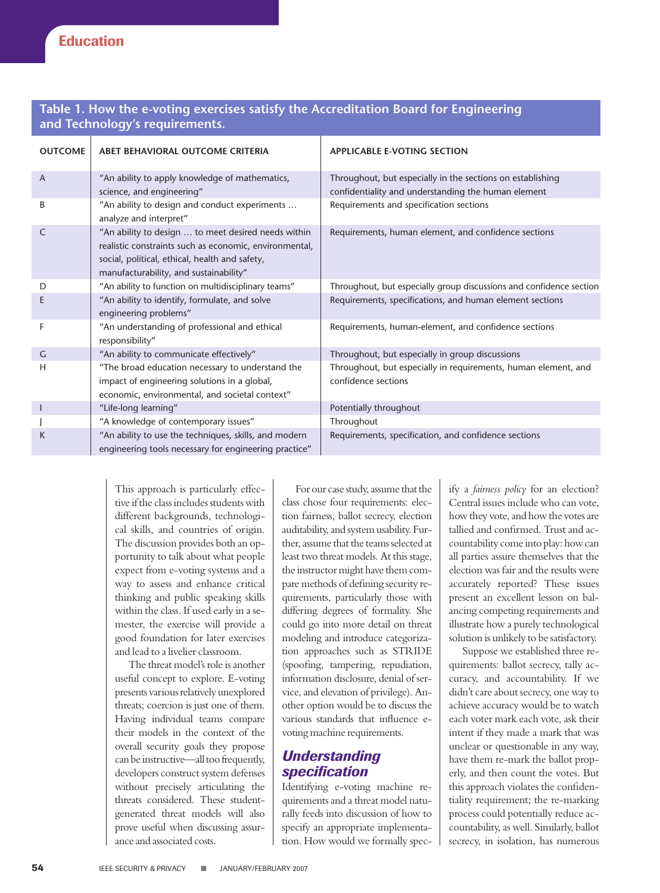| and Technology's requirements. |                                                                         |                                                                     |
|--------------------------------|-------------------------------------------------------------------------|---------------------------------------------------------------------|
| <b>OUTCOME</b>                 | ABET BEHAVIORAL OUTCOME CRITERIA                                        | APPLICABLE E-VOTING SECTION                                         |
| A                              | "An ability to apply knowledge of mathematics,                          | Throughout, but especially in the sections on establishing          |
|                                | science, and engineering"                                               | confidentiality and understanding the human element                 |
| B                              | "An ability to design and conduct experiments<br>analyze and interpret" | Requirements and specification sections                             |
| C                              | "An ability to design  to meet desired needs within                     | Requirements, human element, and confidence sections                |
|                                | realistic constraints such as economic, environmental,                  |                                                                     |
|                                | social, political, ethical, health and safety,                          |                                                                     |
|                                | manufacturability, and sustainability"                                  |                                                                     |
| D                              | "An ability to function on multidisciplinary teams"                     | Throughout, but especially group discussions and confidence section |
| Ε                              | "An ability to identify, formulate, and solve                           | Requirements, specifications, and human element sections            |
|                                | engineering problems"                                                   |                                                                     |
| F                              | "An understanding of professional and ethical<br>responsibility"        | Requirements, human-element, and confidence sections                |
| G                              | "An ability to communicate effectively"                                 | Throughout, but especially in group discussions                     |
| H                              | "The broad education necessary to understand the                        | Throughout, but especially in requirements, human element, and      |
|                                | impact of engineering solutions in a global,                            | confidence sections                                                 |
|                                | economic, environmental, and societal context"                          |                                                                     |
| L                              | "Life-long learning"                                                    | Potentially throughout                                              |
|                                | "A knowledge of contemporary issues"                                    | Throughout                                                          |
| K                              | "An ability to use the techniques, skills, and modern                   | Requirements, specification, and confidence sections                |
|                                | engineering tools necessary for engineering practice"                   |                                                                     |

# **Table 1. How the e-voting exercises satisfy the Accreditation Board for Engineering**

This approach is particularly effective if the class includes students with different backgrounds, technological skills, and countries of origin. The discussion provides both an opportunity to talk about what people expect from e-voting systems and a way to assess and enhance critical thinking and public speaking skills within the class. If used early in a semester, the exercise will provide a good foundation for later exercises and lead to a livelier classroom.

The threat model's role is another useful concept to explore. E-voting presents various relatively unexplored threats; coercion is just one of them. Having individual teams compare their models in the context of the overall security goals they propose can be instructive—all too frequently, developers construct system defenses without precisely articulating the threats considered. These studentgenerated threat models will also prove useful when discussing assurance and associated costs.

For our case study, assume that the class chose four requirements: election fairness, ballot secrecy, election auditability, and system usability. Further, assume that the teams selected at least two threat models. At this stage, the instructor might have them compare methods of defining security requirements, particularly those with differing degrees of formality. She could go into more detail on threat modeling and introduce categorization approaches such as STRIDE (spoofing, tampering, repudiation, information disclosure, denial of service, and elevation of privilege). Another option would be to discuss the various standards that influence evoting machine requirements.

# *Understanding specification*

Identifying e-voting machine requirements and a threat model naturally feeds into discussion of how to specify an appropriate implementation. How would we formally specify a *fairness policy* for an election? Central issues include who can vote, how they vote, and how the votes are tallied and confirmed. Trust and accountability come into play: how can all parties assure themselves that the election was fair and the results were accurately reported? These issues present an excellent lesson on balancing competing requirements and illustrate how a purely technological solution is unlikely to be satisfactory.

Suppose we established three requirements: ballot secrecy, tally accuracy, and accountability. If we didn't care about secrecy, one way to achieve accuracy would be to watch each voter mark each vote, ask their intent if they made a mark that was unclear or questionable in any way, have them re-mark the ballot properly, and then count the votes. But this approach violates the confidentiality requirement; the re-marking process could potentially reduce accountability, as well. Similarly, ballot secrecy, in isolation, has numerous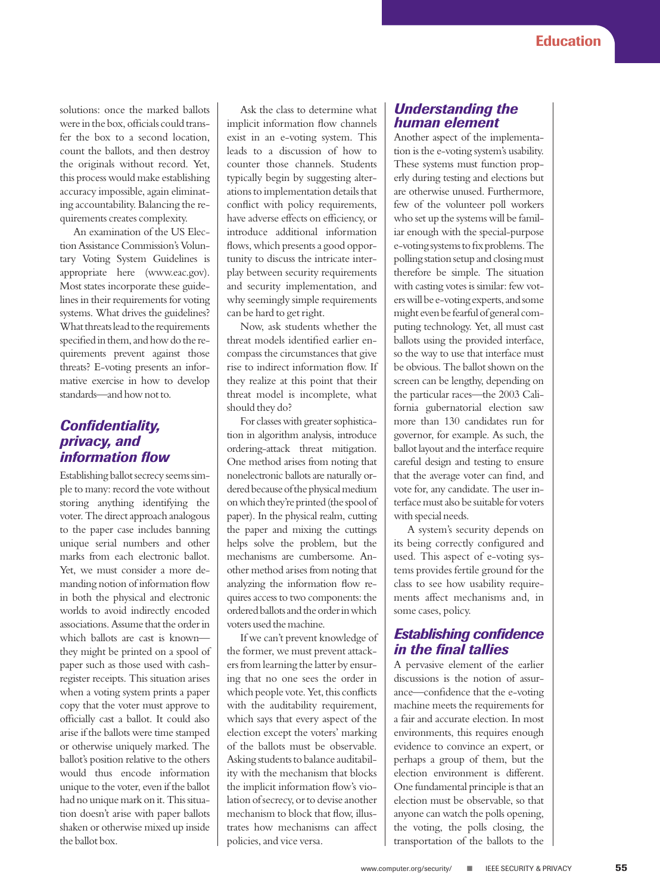solutions: once the marked ballots were in the box, officials could transfer the box to a second location, count the ballots, and then destroy the originals without record. Yet, this process would make establishing accuracy impossible, again eliminating accountability. Balancing the requirements creates complexity.

An examination of the US Election Assistance Commission's Voluntary Voting System Guidelines is appropriate here (www.eac.gov). Most states incorporate these guidelines in their requirements for voting systems. What drives the guidelines? What threats lead to the requirements specified in them, and how do the requirements prevent against those threats? E-voting presents an informative exercise in how to develop standards—and how not to.

# *Confidentiality, privacy, and information flow*

Establishing ballot secrecy seems simple to many: record the vote without storing anything identifying the voter. The direct approach analogous to the paper case includes banning unique serial numbers and other marks from each electronic ballot. Yet, we must consider a more demanding notion of information flow in both the physical and electronic worlds to avoid indirectly encoded associations. Assume that the order in which ballots are cast is known they might be printed on a spool of paper such as those used with cashregister receipts. This situation arises when a voting system prints a paper copy that the voter must approve to officially cast a ballot. It could also arise if the ballots were time stamped or otherwise uniquely marked. The ballot's position relative to the others would thus encode information unique to the voter, even if the ballot had no unique mark on it. This situation doesn't arise with paper ballots shaken or otherwise mixed up inside the ballot box.

Ask the class to determine what implicit information flow channels exist in an e-voting system. This leads to a discussion of how to counter those channels. Students typically begin by suggesting alterations to implementation details that conflict with policy requirements, have adverse effects on efficiency, or introduce additional information flows, which presents a good opportunity to discuss the intricate interplay between security requirements and security implementation, and why seemingly simple requirements can be hard to get right.

Now, ask students whether the threat models identified earlier encompass the circumstances that give rise to indirect information flow. If they realize at this point that their threat model is incomplete, what should they do?

For classes with greater sophistication in algorithm analysis, introduce ordering-attack threat mitigation. One method arises from noting that nonelectronic ballots are naturally ordered because of the physical medium on which they're printed (the spool of paper). In the physical realm, cutting the paper and mixing the cuttings helps solve the problem, but the mechanisms are cumbersome. Another method arises from noting that analyzing the information flow requires access to two components: the ordered ballots and the order in which voters used the machine.

If we can't prevent knowledge of the former, we must prevent attackers from learning the latter by ensuring that no one sees the order in which people vote. Yet, this conflicts with the auditability requirement, which says that every aspect of the election except the voters' marking of the ballots must be observable. Asking students to balance auditability with the mechanism that blocks the implicit information flow's violation of secrecy, or to devise another mechanism to block that flow, illustrates how mechanisms can affect policies, and vice versa.

#### *Understanding the human element*

Another aspect of the implementation is the e-voting system's usability. These systems must function properly during testing and elections but are otherwise unused. Furthermore, few of the volunteer poll workers who set up the systems will be familiar enough with the special-purpose e-voting systems to fix problems. The polling station setup and closing must therefore be simple. The situation with casting votes is similar: few voters will be e-voting experts, and some might even be fearful of general computing technology. Yet, all must cast ballots using the provided interface, so the way to use that interface must be obvious. The ballot shown on the screen can be lengthy, depending on the particular races—the 2003 California gubernatorial election saw more than 130 candidates run for governor, for example. As such, the ballot layout and the interface require careful design and testing to ensure that the average voter can find, and vote for, any candidate. The user interface must also be suitable for voters with special needs.

A system's security depends on its being correctly configured and used. This aspect of e-voting systems provides fertile ground for the class to see how usability requirements affect mechanisms and, in some cases, policy.

### *Establishing confidence in the final tallies*

A pervasive element of the earlier discussions is the notion of assurance—confidence that the e-voting machine meets the requirements for a fair and accurate election. In most environments, this requires enough evidence to convince an expert, or perhaps a group of them, but the election environment is different. One fundamental principle is that an election must be observable, so that anyone can watch the polls opening, the voting, the polls closing, the transportation of the ballots to the